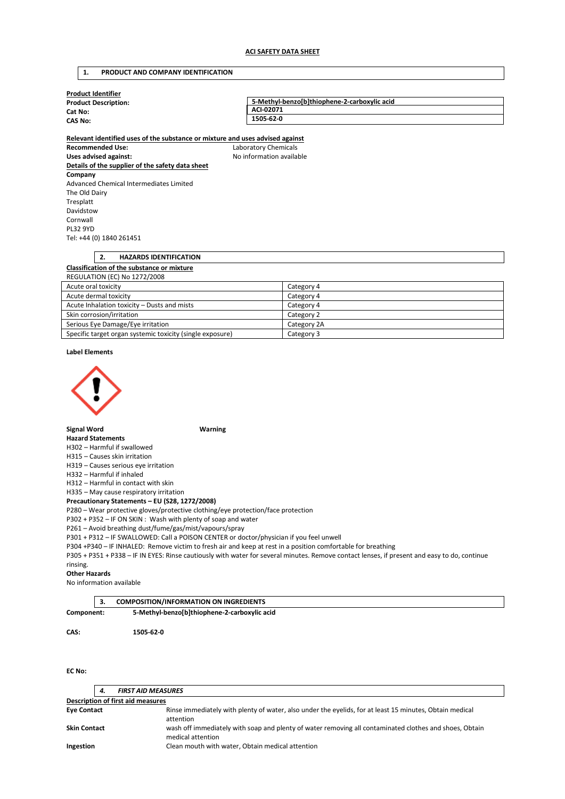# **1. PRODUCT AND COMPANY IDENTIFICATION**

| <b>Product Identifier</b>   |                                              |  |  |  |  |
|-----------------------------|----------------------------------------------|--|--|--|--|
| <b>Product Description:</b> | 5-Methyl-benzo[b]thiophene-2-carboxylic acid |  |  |  |  |
| Cat No:                     | ACI-02071                                    |  |  |  |  |
| <b>CAS No:</b>              | 1505-62-0                                    |  |  |  |  |
|                             |                                              |  |  |  |  |

**Relevant identified uses of the substance or mixture and uses advised against Recommended Use:** Laboratory Chemicals Uses advised against: Moleco and Moleco available **Details of the supplier of the safety data sheet Company**  Advanced Chemical Intermediates Limited The Old Dairy Tresplatt Davidstow Cornwall PL32 9YD Tel: +44 (0) 1840 261451

# **2. HAZARDS IDENTIFICATION Classification of the substance or mixture**  REGULATION (EC) No 1272/2008

| Acute oral toxicity                                       | Category 4  |
|-----------------------------------------------------------|-------------|
| Acute dermal toxicity                                     | Category 4  |
| Acute Inhalation toxicity – Dusts and mists               | Category 4  |
| Skin corrosion/irritation                                 | Category 2  |
| Serious Eye Damage/Eye irritation                         | Category 2A |
| Specific target organ systemic toxicity (single exposure) | Category 3  |

### **Label Elements**



# **Signal Word Warning**

# **Hazard Statements**

H302 – Harmful if swallowed

H315 – Causes skin irritation

H319 – Causes serious eye irritation

H332 – Harmful if inhaled

H312 – Harmful in contact with skin

H335 – May cause respiratory irritation

**Precautionary Statements – EU (S28, 1272/2008)** 

P280 – Wear protective gloves/protective clothing/eye protection/face protection

P302 + P352 – IF ON SKIN : Wash with plenty of soap and water

P261 – Avoid breathing dust/fume/gas/mist/vapours/spray

P301 + P312 – IF SWALLOWED: Call a POISON CENTER or doctor/physician if you feel unwell

P304 +P340 – IF INHALED: Remove victim to fresh air and keep at rest in a position comfortable for breathing

P305 + P351 + P338 – IF IN EYES: Rinse cautiously with water for several minutes. Remove contact lenses, if present and easy to do, continue rinsing.

#### **Other Hazards**

No information available

|            | <b>COMPOSITION/INFORMATION ON INGREDIENTS</b> |  |
|------------|-----------------------------------------------|--|
| Component: | 5-Methyl-benzo[b]thiophene-2-carboxylic acid  |  |
| CAS:       | 1505-62-0                                     |  |

**EC No:** 

|                                   | 4. | <b>FIRST AID MEASURES</b>                                                                                                   |  |
|-----------------------------------|----|-----------------------------------------------------------------------------------------------------------------------------|--|
| Description of first aid measures |    |                                                                                                                             |  |
| <b>Eye Contact</b>                |    | Rinse immediately with plenty of water, also under the eyelids, for at least 15 minutes, Obtain medical<br>attention        |  |
| <b>Skin Contact</b>               |    | wash off immediately with soap and plenty of water removing all contaminated clothes and shoes, Obtain<br>medical attention |  |
| Ingestion                         |    | Clean mouth with water, Obtain medical attention                                                                            |  |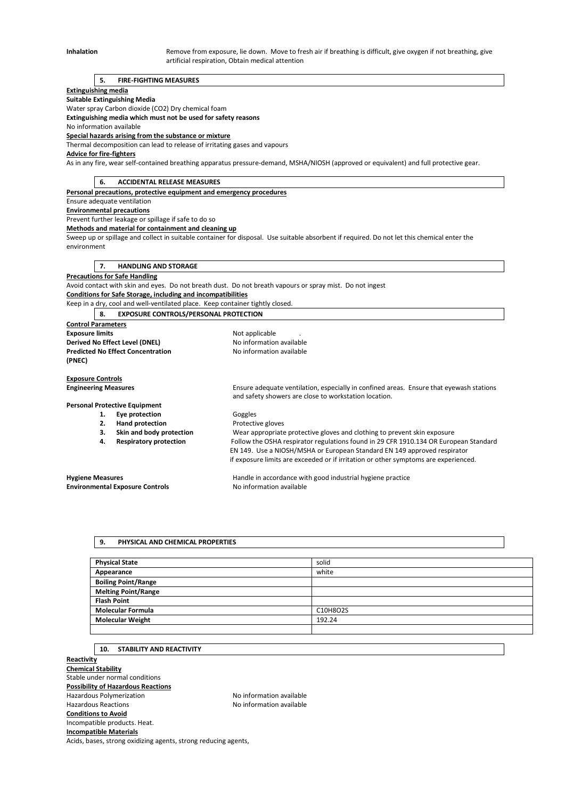Inhalation **Remove from exposure, lie down.** Move to fresh air if breathing is difficult, give oxygen if not breathing, give artificial respiration, Obtain medical attention

### **5. FIRE-FIGHTING MEASURES**

#### **Extinguishing media**

**Suitable Extinguishing Media** 

Water spray Carbon dioxide (CO2) Dry chemical foam

**Extinguishing media which must not be used for safety reasons** 

No information available **Special hazards arising from the substance or mixture** 

Thermal decomposition can lead to release of irritating gases and vapours

**Advice for fire-fighters** 

As in any fire, wear self-contained breathing apparatus pressure-demand, MSHA/NIOSH (approved or equivalent) and full protective gear.

**6. ACCIDENTAL RELEASE MEASURES** 

**Personal precautions, protective equipment and emergency procedures** 

Ensure adequate ventilation

**Environmental precautions** 

Prevent further leakage or spillage if safe to do so

**Methods and material for containment and cleaning up** 

Sweep up or spillage and collect in suitable container for disposal. Use suitable absorbent if required. Do not let this chemical enter the environment

**7. HANDLING AND STORAGE** 

# **Precautions for Safe Handling**

Avoid contact with skin and eyes. Do not breath dust. Do not breath vapours or spray mist. Do not ingest **Conditions for Safe Storage, including and incompatibilities** 

Keep in a dry, cool and well-ventilated place. Keep container tightly closed.

**8. EXPOSURE CONTROLS/PERSONAL PROTECTION** 

**Control Parameters Exposure limits Exposure limits Not applicable** . **Derived No Effect Level (DNEL)** No information available **Predicted No Effect Concentration** No information available **(PNEC)** 

**Exposure Controls** 

**Engineering Measures** Ensure adequate ventilation, especially in confined areas. Ensure that eyewash stations and safety showers are close to workstation location.

# **Personal Protective Equipment**

- 1. **Eye protection Goggles** 
	-

**2. Hand protection Protective gloves**<br>**2. Skin and body protection Wear appropriate 3. Skin and body protection** Wear appropriate protective gloves and clothing to prevent skin exposure **4. Respiratory protection** Follow the OSHA respirator regulations found in 29 CFR 1910.134 OR European Standard EN 149. Use a NIOSH/MSHA or European Standard EN 149 approved respirator if exposure limits are exceeded or if irritation or other symptoms are experienced.

**Environmental Exposure Controls No information available** 

**Hygiene Measures** Handle in accordance with good industrial hygiene practice

### **9. PHYSICAL AND CHEMICAL PROPERTIES**

| <b>Physical State</b>      | solid    |
|----------------------------|----------|
| Appearance                 | white    |
| <b>Boiling Point/Range</b> |          |
| <b>Melting Point/Range</b> |          |
| <b>Flash Point</b>         |          |
| <b>Molecular Formula</b>   | C10H8O2S |
| <b>Molecular Weight</b>    | 192.24   |
|                            |          |

### **10. STABILITY AND REACTIVITY**

**Reactivity Chemical Stability**  Stable under normal conditions **Possibility of Hazardous Reactions**  Hazardous Polymerization Noinformation available Hazardous Reactions **No information available Conditions to Avoid**  Incompatible products. Heat. **Incompatible Materials** 

Acids, bases, strong oxidizing agents, strong reducing agents,